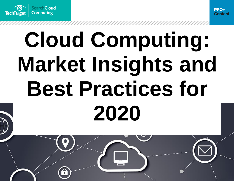



# **Cloud Computing: Market Insights and Best Practices for 2020**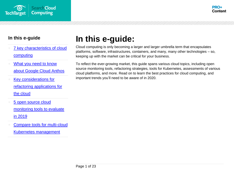



- [7 key characteristics of cloud](#page-2-0)  [computing](#page-2-0)
- What you need to know [about Google Cloud Anthos](#page-6-0)
- [Key considerations for](#page-11-0)  [refactoring applications for](#page-11-0)  [the cloud](#page-11-0)
- 5 open source cloud [monitoring tools to evaluate](#page-16-0)  [in 2019](#page-16-0)
- [Compare tools for multi-cloud](#page-20-0)  [Kubernetes management](#page-20-0)

# **In this e-guide:**

Cloud computing is only becoming a larger and larger umbrella term that encapsulates platforms, software, infrastructures, containers, and many, many other technologies – so, keeping up with the market can be critical for your business.

To reflect the ever-growing market, this guide spans various cloud topics, including open source monitoring tools, refactoring strategies, tools for Kubernetes, assessments of various cloud platforms, and more. Read on to learn the best practices for cloud computing, and important trends you'll need to be aware of in 2020.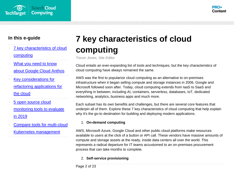



- [7 key characteristics of cloud](#page-2-0)  [computing](#page-2-0)
- What you need to know [about Google Cloud Anthos](#page-6-0)
- [Key considerations for](#page-11-0)  [refactoring applications for](#page-11-0)  [the cloud](#page-11-0)
- [5 open source cloud](#page-16-0)  [monitoring tools to evaluate](#page-16-0)  [in 2019](#page-16-0)
- [Compare tools for multi-cloud](#page-20-0)  [Kubernetes management](#page-20-0)

# <span id="page-2-0"></span>**7 key characteristics of cloud computing**

*Trevor Jones, Site Editor*

Cloud entails an ever-expanding list of tools and techniques, but the key characteristics of cloud computing have always remained the same.

AWS was the first to popularize cloud computing as an alternative to on-premises infrastructure when it began selling compute and storage instances in 2006. Google and Microsoft followed soon after. Today, cloud computing extends from IaaS to SaaS and everything in between, including AI, containers, serverless, databases, IoT, dedicated networking, analytics, business apps and much more.

Each subset has its own benefits and challenges, but there are several core features that underpin all of them. Explore these 7 key characteristics of cloud computing that help explain why it's the go-to destination for building and deploying modern applications.

#### 1. **On-demand computing**

AWS, Microsoft Azure, Google Cloud and other public cloud platforms make resources available to users at the click of a button or API call. These vendors have massive amounts of compute and storage assets at the ready, inside data centers all over the world. This represents a radical departure for IT teams accustomed to an on-premises procurement process that can take months to complete.

#### 2. **Self-service provisioning**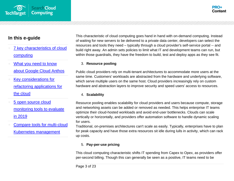- 7 key characteristics of cloud [computing](#page-2-0)
- What you need to know [about Google Cloud Anthos](#page-6-0)
- [Key considerations for](#page-11-0)  [refactoring applications for](#page-11-0)  [the cloud](#page-11-0)
- [5 open source cloud](#page-16-0)  [monitoring tools to evaluate](#page-16-0)  [in 2019](#page-16-0)
- [Compare tools for multi-cloud](#page-20-0)  [Kubernetes management](#page-20-0)

This characteristic of cloud computing goes hand in hand with on-demand computing. Instead of waiting for new servers to be delivered to a private data center, developers can select the resources and tools they need – typically through a cloud provider's self-service portal -- and build right away. An admin sets policies to limit what IT and development teams can run, but within those guardrails, they have the freedom to build, test and deploy apps as they see fit.

#### 3. **Resource pooling**

Public cloud providers rely on multi-tenant architectures to accommodate more users at the same time. Customers' workloads are abstracted from the hardware and underlying software, which serve multiple users on the same host. Cloud providers increasingly rely on custom hardware and abstraction layers to improve security and speed users' access to resources.

#### 4. **Scalability**

Resource pooling enables scalability for cloud providers and users because compute, storage and networking assets can be added or removed as needed. This helps enterprise IT teams optimize their cloud-hosted workloads and avoid end-user bottlenecks. Clouds can scale vertically or horizontally, and providers offer automation software to handle dynamic scaling for users.

Traditional, on-premises architectures can't scale as easily. Typically, enterprises have to plan for peak capacity and have those extra resources sit idle during lulls in activity, which can rack up costs.

#### 5. **Pay-per-use pricing**

This cloud computing characteristic shifts IT spending from Capex to Opex, as providers offer per-second billing. Though this can generally be seen as a positive, IT teams need to be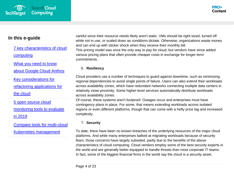

- [7 key characteristics of cloud](#page-2-0)  [computing](#page-2-0)
- What you need to know [about Google Cloud Anthos](#page-6-0)
- [Key considerations for](#page-11-0)  [refactoring applications for](#page-11-0)  [the cloud](#page-11-0)
- [5 open source cloud](#page-16-0)  [monitoring tools to evaluate](#page-16-0)  [in 2019](#page-16-0)
- [Compare tools for multi-cloud](#page-20-0)  [Kubernetes management](#page-20-0)

careful since their resource needs likely aren't static. VMs should be right-sized, turned off while not in use, or scaled down as conditions dictate. Otherwise, organizations waste money and can end up with sticker shock when they receive their monthly bill. This pricing model was once the only way to pay for cloud, but vendors have since added various pricing plans that often provide cheaper costs in exchange for longer-term commitments.

#### 6. **Resiliency**

Cloud providers use a number of techniques to guard against downtime, such as minimizing regional dependencies to avoid single points of failure. Users can also extend their workloads across availability zones, which have redundant networks connecting multiple data centers in relatively close proximity. Some higher-level services automatically distribute workloads across availability zones.

Of course, these systems aren't foolproof. Outages occur and enterprises must have contingency plans in place. For some, that means extending workloads across isolated regions or even different platforms, though that can come with a hefty price tag and increased complexity.

#### 7. **Security**

To date, there have been no known breaches of the underlying resources of the major cloud platforms. And while many enterprises balked at migrating workloads because of security fears, those concerns have largely subsided, partly due to the benefits of the above characteristics of cloud computing. Cloud vendors employ some of the best security experts in the world and are generally better equipped to handle threats than most corporate IT teams. In fact, some of the biggest financial firms in the world say the cloud is a security asset.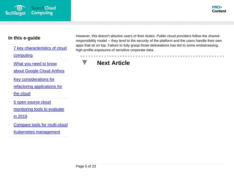



- [7 key characteristics of cloud](#page-2-0)  [computing](#page-2-0)
- What you need to know [about Google Cloud Anthos](#page-6-0)
- [Key considerations for](#page-11-0)  [refactoring applications for](#page-11-0)  [the cloud](#page-11-0)
- 5 open source cloud [monitoring tools to evaluate](#page-16-0)  [in 2019](#page-16-0)
- [Compare tools for multi-cloud](#page-20-0)  [Kubernetes management](#page-20-0)

However, this doesn't absolve users of their duties. Public cloud providers follow the sharedresponsibility model -- they tend to the security of the platform and the users handle their own apps that sit on top. Failure to fully grasp those delineations has led to some embarrassing, high-profile exposures of sensitive corporate data.

### **Next Article**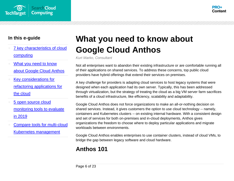



- [7 key characteristics of cloud](#page-2-0)  [computing](#page-2-0)
- What you need to know [about Google Cloud Anthos](#page-6-0)
- [Key considerations for](#page-11-0)  [refactoring applications for](#page-11-0)  [the cloud](#page-11-0)
- [5 open source cloud](#page-16-0)  [monitoring tools to evaluate](#page-16-0)  [in 2019](#page-16-0)
- [Compare tools for multi-cloud](#page-20-0)  [Kubernetes management](#page-20-0)

# <span id="page-6-0"></span>**What you need to know about Google Cloud Anthos**

*Kurt Marko, Consultant*

Not all enterprises want to abandon their existing infrastructure or are comfortable running all of their applications on shared services. To address these concerns, top public cloud providers have hybrid offerings that extend their services on premises.

A key challenge for providers is adapting cloud services to host legacy systems that were designed when each application had its own server. Typically, this has been addressed through virtualization, but the strategy of treating the cloud as a big VM server farm sacrifices benefits of a cloud infrastructure, like efficiency, scalability and adaptability.

Google Cloud Anthos does not force organizations to make an all-or-nothing decision on shared services. Instead, it gives customers the option to use cloud technology -- namely, containers and Kubernetes clusters -- on existing internal hardware. With a consistent design and set of services for both on-premises and in-cloud deployments, Anthos gives organizations the freedom to choose where to deploy particular applications and migrate workloads between environments.

Google Cloud Anthos enables enterprises to use container clusters, instead of cloud VMs, to bridge the gap between legacy software and cloud hardware.

### **Anthos 101**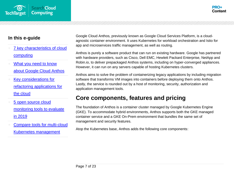



- [7 key characteristics of cloud](#page-2-0)  [computing](#page-2-0)
- What you need to know [about Google Cloud Anthos](#page-6-0)
- [Key considerations for](#page-11-0)  [refactoring applications for](#page-11-0)  [the cloud](#page-11-0)
- [5 open source cloud](#page-16-0)  [monitoring tools to evaluate](#page-16-0)  [in 2019](#page-16-0)
- [Compare tools for multi-cloud](#page-20-0)  [Kubernetes management](#page-20-0)

Google Cloud Anthos, previously known as Google Cloud Services Platform, is a cloudagnostic container environment. It uses Kubernetes for workload orchestration and Istio for app and microservices traffic management, as well as routing.

Anthos is purely a software product that can run on existing hardware. Google has partnered with hardware providers, such as Cisco, Dell EMC, Hewlett Packard Enterprise, NetApp and Robin.io, to deliver prepackaged Anthos systems, including on hyper-converged appliances. However, it can run on any servers capable of hosting Kubernetes clusters.

Anthos aims to solve the problem of containerizing legacy applications by including migration software that transforms VM images into containers before deploying them onto Anthos. Lastly, the service is rounded out by a host of monitoring, security, authorization and application management tools.

### **Core components, features and pricing**

The foundation of Anthos is a container cluster managed by Google Kubernetes Engine (GKE). To accommodate hybrid environments, Anthos supports both the GKE managed container service and a GKE On-Prem environment that bundles the same set of management and security features.

Atop the Kubernetes base, Anthos adds the following core components: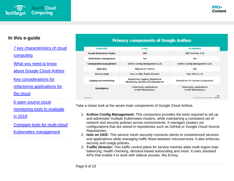- 7 key characteristics of cloud [computing](#page-2-0)
- What you need to know [about Google Cloud Anthos](#page-6-0)
- [Key considerations for](#page-11-0)  [refactoring applications for](#page-11-0)  [the cloud](#page-11-0)
- [5 open source cloud](#page-16-0)  [monitoring tools to evaluate](#page-16-0)  [in 2019](#page-16-0)
- [Compare tools for multi-cloud](#page-20-0)  [Kubernetes management](#page-20-0)

| <b>COMPONENT</b>         | <b>CLOUD</b>                                                              | <b>ON PREMISES</b>                            |
|--------------------------|---------------------------------------------------------------------------|-----------------------------------------------|
| Google Kubernetes Engine | <b>GKE</b>                                                                | GKE On-Prem (1.0)                             |
| Multicluster management  | Yes                                                                       | Yes                                           |
| Configuration management | Anthos Config Management (1.0)                                            | Anthos Config Management (1.0)                |
| Migration                | <b>Migrate for Anthos</b>                                                 | N/A                                           |
| Service mesh             | Istio on GKE, Traffic Director                                            | Istio OSS (1.1.7)                             |
| Logging and monitoring   | Stackdriver Logging, Stackdriver<br>Monitoring, Alerting with Stackdriver | Stackdriver for system components             |
| Marketplace              | Kubernetes applications<br>in GCP Marketplace                             | Kubernetes applications<br>in GCP Marketplace |
|                          |                                                                           | -15<br>$-10-10$                               |

**Primary components of Google Anthos** 

Take a closer look at the seven main components of Google Cloud Anthos.

- 1. **Anthos Config Management:** This component provides the tools required to set up and administer multiple Kubernetes clusters, while maintaining a consistent set of network and security policies across environments. It manages clusters via configurations that are stored in repositories such as GitHub or Google Cloud Source Repositories.
- 2. **Istio on GKE:** This service mesh securely connects clients to containerized services and applications while managing traffic flows between microservices. It also enforces security and usage policies.
- 3. **Traffic Director:** This traffic control plane for service meshes adds multi-region load balancing, health checking, demand-based autoscaling and more. It uses standard APIs that enable it to work with sidecar proxies, like Envoy.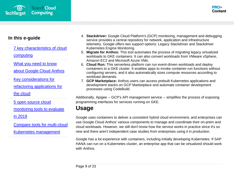



- 7 key characteristics of cloud [computing](#page-2-0)
- What you need to know [about Google Cloud Anthos](#page-6-0)
- [Key considerations for](#page-11-0)  [refactoring applications for](#page-11-0)  [the cloud](#page-11-0)
- [5 open source cloud](#page-16-0)  [monitoring tools to evaluate](#page-16-0)  [in 2019](#page-16-0)
- [Compare tools for multi-cloud](#page-20-0)  [Kubernetes management](#page-20-0)
- 4. **Stackdriver:** Google Cloud Platform's (GCP) monitoring, management and debugging service provides a central repository for network, application and infrastructure telemetry. Google offers two support options: Legacy Stackdriver and Stackdriver Kubernetes Engine Monitoring.
- 5. **Migrate for Anthos:** This tool automates the process of migrating legacy virtualized workloads to GKE containers. It can also convert workloads from VMware vSphere, Amazon EC2 and Microsoft Azure VMs.
- 6. **Cloud Run:** This serverless platform can run event-driven workloads and deploy containers to a GKE cluster. It enables apps to invoke container-run functions without configuring servers, and it also automatically sizes compute resources according to workload demands.
- 7. **GCP Marketplace:** Anthos users can access prebuilt Kubernetes applications and development stacks on GCP Marketplace and automate container development processes using CodeBuild.

Additionally, Apigee -- GCP's API management service -- simplifies the process of exposing programming interfaces for services running on GKE.

### **Usage**

Google uses containers to deliver a consistent hybrid cloud environment, and enterprises can use Google Cloud Anthos' various components to manage and coordinate their on-prem and cloud workloads. However, we still don't know how the service works in practice since it's so new and there aren't independent case studies from enterprises using it in production.

Google has a lot experience with containers, including initially developing Kubernetes. If SAP HANA can run on a Kubernetes cluster, an enterprise app that can be virtualized should work with Anthos.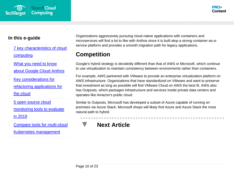



- [7 key characteristics of cloud](#page-2-0)  [computing](#page-2-0)
- What you need to know [about Google Cloud Anthos](#page-6-0)
- [Key considerations for](#page-11-0)  [refactoring applications for](#page-11-0)  [the cloud](#page-11-0)
- [5 open source cloud](#page-16-0)  [monitoring tools to evaluate](#page-16-0)  [in 2019](#page-16-0)
- [Compare tools for multi-cloud](#page-20-0)  [Kubernetes management](#page-20-0)

Organizations aggressively pursuing cloud-native applications with containers and microservices will find a lot to like with Anthos since it is built atop a strong container-as-aservice platform and provides a smooth migration path for legacy applications.

### **Competition**

Google's hybrid strategy is decidedly different than that of AWS or Microsoft, which continue to use virtualization to maintain consistency between environments rather than containers.

For example, AWS partnered with VMware to provide an enterprise virtualization platform on AWS infrastructure. Organizations that have standardized on VMware and want to preserve that investment as long as possible will find VMware Cloud on AWS the best fit. AWS also has Outposts, which packages infrastructure and services inside private data centers and operates like Amazon's public cloud.

Similar to Outposts, Microsoft has developed a subset of Azure capable of running on premises via Azure Stack. Microsoft shops will likely find Azure and Azure Stack the most natural path to hybrid.

### **Next Article**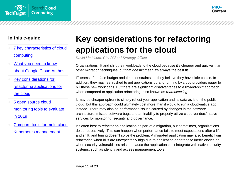

- 7 key characteristics of cloud [computing](#page-2-0)
- What you need to know [about Google Cloud Anthos](#page-6-0)
- [Key considerations for](#page-11-0)  [refactoring applications for](#page-11-0)  [the cloud](#page-11-0)
- [5 open source cloud](#page-16-0)  [monitoring tools to evaluate](#page-16-0)  [in 2019](#page-16-0)
- [Compare tools for multi-cloud](#page-20-0)  [Kubernetes management](#page-20-0)

# <span id="page-11-0"></span>**Key considerations for refactoring applications for the cloud**

*David Linthicum, Chief Cloud Strategy Officer*

Organizations lift and shift their workloads to the cloud because it's cheaper and quicker than other migration techniques, but that doesn't mean it's always the best fit.

IT teams often face budget and time constraints, so they believe they have little choice. In addition, they may feel rushed to get applications up and running by cloud providers eager to bill these new workloads. But there are significant disadvantages to a lift-and-shift approach when compared to application refactoring, also known as *rearchitecting*.

It may be cheaper upfront to simply rehost your application and its data as is on the public cloud, but this approach could ultimately cost more than it would to run a cloud-native app instead. There may also be performance issues caused by changes in the software architecture, missed software bugs and an inability to properly utilize cloud vendors' native services for monitoring, security and governance.

It's often best to refactor an application as part of a migration, but sometimes, organizations do so retroactively. This can happen when performance fails to meet expectations after a lift and shift, and tuning doesn't solve the problem. A migrated application may also benefit from refactoring when bills are unexpectedly high due to application or database inefficiencies or when security vulnerabilities arise because the application can't integrate with native security systems, such as identity and access management tools.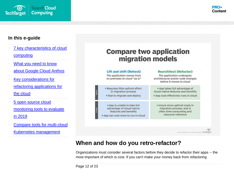

- [7 key characteristics of cloud](#page-2-0)  [computing](#page-2-0)
- What you need to know [about Google Cloud Anthos](#page-6-0)
- [Key considerations for](#page-11-0)  [refactoring applications for](#page-11-0)  [the cloud](#page-11-0)
- 5 open source cloud [monitoring tools to evaluate](#page-16-0)  [in 2019](#page-16-0)
- [Compare tools for multi-cloud](#page-20-0)  [Kubernetes management](#page-20-0)

### **Compare two application** migration models

| <b>Lift and shift (Rehost)</b><br>The application moves from<br>on premises to cloud "as is"                          | <b>Rearchitect (Refactor)</b><br>The application undergoes<br>architectural and/or code changes<br>before it moves to cloud |
|-----------------------------------------------------------------------------------------------------------------------|-----------------------------------------------------------------------------------------------------------------------------|
| <b>Requires little upfront effort</b><br>in migration process<br><b>Example 3 Fast to migrate and deploy</b>          | App takes full advantage of<br>cloud-native features and benefits<br>App cost-effectively runs in cloud                     |
| App is unable to take full<br>advantage of cloud-native<br>features and benefits<br>App can cost more to run in cloud | Incurs more upfront costs in<br>migration process, and is<br>often time-consuming and<br>resource-intensive                 |

SET. ALL RIGHTS RESERVED TechTarget

### **When and how do you retro-refactor?**

Organizations must consider several factors before they decide to refactor their apps -- the most important of which is cost. If you can't make your money back from refactoring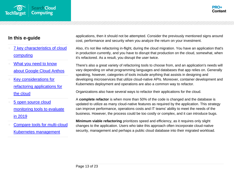



- [7 key characteristics of cloud](#page-2-0)  [computing](#page-2-0)
- What you need to know [about Google Cloud Anthos](#page-6-0)
- [Key considerations for](#page-11-0)  [refactoring applications for](#page-11-0)  [the cloud](#page-11-0)
- [5 open source cloud](#page-16-0)  [monitoring tools to evaluate](#page-16-0)  [in 2019](#page-16-0)
- [Compare tools for multi-cloud](#page-20-0)  [Kubernetes management](#page-20-0)

applications, then it should not be attempted. Consider the previously mentioned signs around cost, performance and security when you analyze the return on your investment.

Also, it's not like refactoring in-flight, during the cloud migration. You have an application that's in production currently, and you have to disrupt that production on the cloud, somewhat, when it's refactored. As a result, you disrupt the user twice.

There's also a great variety of refactoring tools to choose from, and an application's needs will vary depending on what programming languages and databases that app relies on. Generally speaking, however, categories of tools include anything that assists in designing and developing microservices that utilize cloud-native APIs. Moreover, container development and Kubernetes deployment and operations are also a common way to refactor.

Organizations also have several ways to refactor their applications for the cloud.

A **complete refactor** is when more than 50% of the code is changed and the database is updated to utilize as many cloud-native features as required by the application. This strategy can improve performance, operations costs and IT teams' ability to meet the needs of the business. However, the process could be too costly or complex, and it can introduce bugs.

**Minimum viable refactoring** prioritizes speed and efficiency, as it requires only slight changes to the application. Users who take this approach often incorporate cloud-native security, management and perhaps a public cloud database into their migrated workload.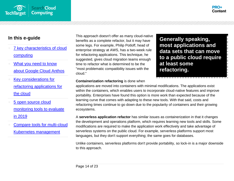

- [7 key characteristics of cloud](#page-2-0)  [computing](#page-2-0)
- What you need to know [about Google Cloud Anthos](#page-6-0)
- [Key considerations for](#page-11-0)  [refactoring applications for](#page-11-0)  [the cloud](#page-11-0)
- [5 open source cloud](#page-16-0)  [monitoring tools to evaluate](#page-16-0)  [in 2019](#page-16-0)
- [Compare tools for multi-cloud](#page-20-0)  [Kubernetes management](#page-20-0)

This approach doesn't offer as many cloud-native benefits as a complete refactor, but it may have some legs. For example, Philip Potloff, head of enterprise strategy at AWS, has a two-week rule for refactoring applications. This technique, he suggested, gives cloud migration teams enough time to refactor what is determined to be the "most problematic compatibility issues with the cloud."

**Generally speaking, most applications and data sets that can move to a public cloud require at least some refactoring.**

#### **Containerization refactoring** is done when

applications are moved into containers with minimal modifications. The applications exist within the containers, which enables users to incorporate cloud-native features and improve portability. Enterprises have found this option is more work than expected because of the learning curve that comes with adapting to these new tools. With that said, costs and refactoring times continue to go down due to the popularity of containers and their growing ecosystems.

A **serverless application refactor** has similar issues as containerization in that it changes the development and operations platform, which requires learning new tools and skills. Some modifications are required to make the application work effectively and take advantage of serverless systems on the public cloud. For example, serverless platforms support most languages, but they don't support everything; the same goes for databases.

Unlike containers, serverless platforms don't provide portability, so lock-in is a major downside to this approach.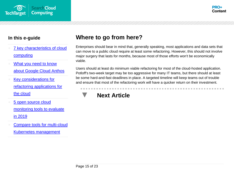



- [7 key characteristics of cloud](#page-2-0)  [computing](#page-2-0)
- What you need to know [about Google Cloud Anthos](#page-6-0)
- [Key considerations for](#page-11-0)  [refactoring applications for](#page-11-0)  [the cloud](#page-11-0)
- 5 open source cloud [monitoring tools to evaluate](#page-16-0)  [in 2019](#page-16-0)
- [Compare tools for multi-cloud](#page-20-0)  [Kubernetes management](#page-20-0)

### **Where to go from here?**

Enterprises should bear in mind that, generally speaking, most applications and data sets that can move to a public cloud require at least some refactoring. However, this should not involve major surgery that lasts for months, because most of those efforts won't be economically viable.

Users should at least do minimum viable refactoring for most of the cloud-hosted application. Potloff's two-week target may be too aggressive for many IT teams, but there should at least be some hard-and-fast deadlines in place. A targeted timeline will keep teams out of trouble and ensure that most of the refactoring work will have a quicker return on their investment.

### **Next Article**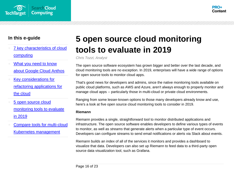



- [7 key characteristics of cloud](#page-2-0)  [computing](#page-2-0)
- What you need to know [about Google Cloud Anthos](#page-6-0)
- [Key considerations for](#page-11-0)  [refactoring applications for](#page-11-0)  [the cloud](#page-11-0)
- [5 open source cloud](#page-16-0)  [monitoring tools to evaluate](#page-16-0)  [in 2019](#page-16-0)
- [Compare tools for multi-cloud](#page-20-0)  [Kubernetes management](#page-20-0)

# <span id="page-16-0"></span>**5 open source cloud monitoring tools to evaluate in 2019**

*Chris Tozzi, Analyst*

The open source software ecosystem has grown bigger and better over the last decade, and cloud monitoring tools are no exception. In 2019, enterprises will have a wide range of options for open source tools to monitor cloud apps.

That's good news for developers and admins, since the native monitoring tools available on public cloud platforms, such as AWS and Azure, aren't always enough to properly monitor and manage cloud apps -- particularly those in multi-cloud or private cloud environments.

Ranging from some lesser-known options to those many developers already know and use, here's a look at five open source cloud monitoring tools to consider in 2019.

#### **Riemann**

Riemann provides a single, straightforward tool to monitor distributed applications and infrastructure. The open source software enables developers to define various types of events to monitor, as well as *streams* that generate alerts when a particular type of event occurs. Developers can configure streams to send email notifications or alerts via Slack about events.

Riemann builds an index of all of the services it monitors and provides a dashboard to visualize that data. Developers can also set up Riemann to feed data to a third-party open source data visualization tool, such as Grafana.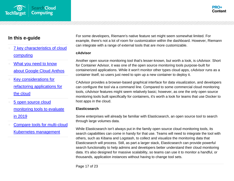

- [7 key characteristics of cloud](#page-2-0)  [computing](#page-2-0)
- What you need to know [about Google Cloud Anthos](#page-6-0)
- [Key considerations for](#page-11-0)  [refactoring applications for](#page-11-0)  [the cloud](#page-11-0)
- [5 open source cloud](#page-16-0)  [monitoring tools to evaluate](#page-16-0)  [in 2019](#page-16-0)
- [Compare tools for multi-cloud](#page-20-0)  [Kubernetes management](#page-20-0)

For some developers, Riemann's native feature set might seem somewhat limited. For example, there's not a lot of room for customization within the dashboard. However, Riemann can integrate with a range of external tools that are more customizable.

#### **cAdvisor**

Another open source monitoring tool that's lesser-known, but worth a look, is cAdvisor. Short for Container Advisor, it was one of the open source monitoring tools purpose-built for containerized applications. While it won't monitor other types cloud apps, cAdvisor runs as a container itself, so users just need to spin up a new container to deploy it.

CAdvisor provides a browser-based graphical interface for data visualization, and developers can configure the tool via a command line. Compared to some commercial cloud monitoring tools, cAdvisor features might seem relatively basic; however, as one the only open source monitoring tools built specifically for containers, it's worth a look for teams that use Docker to host apps in the cloud.

#### **Elasticsearch**

Some enterprises will already be familiar with Elasticsearch, an open source tool to search through large volumes data.

While Elasticsearch isn't always put in the family open source cloud monitoring tools, its search capabilities can come in handy for that use. Teams will need to integrate the tool with others, such as Kibana and Logstash, to collect and visualize the monitoring data that Elasticsearch will process. Still, as part a larger stack, Elasticsearch can provide powerful search functionality to help admins and developers better understand their cloud monitoring data. It's also designed for massive scalability, so teams can use it to monitor a handful, or thousands, application instances without having to change tool sets.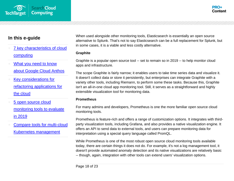

- [7 key characteristics of cloud](#page-2-0)  [computing](#page-2-0)
- What you need to know [about Google Cloud Anthos](#page-6-0)
- [Key considerations for](#page-11-0)  [refactoring applications for](#page-11-0)  [the cloud](#page-11-0)
- [5 open source cloud](#page-16-0)  [monitoring tools to evaluate](#page-16-0)  [in 2019](#page-16-0)
- [Compare tools for multi-cloud](#page-20-0)  [Kubernetes management](#page-20-0)

When used alongside other monitoring tools, Elasticsearch is essentially an open source alternative to Splunk. That's not to say Elasticsearch can be a full replacement for Splunk, but in some cases, it is a viable and less costly alternative.

#### **Graphite**

Graphite is a popular open source tool -- set to remain so in 2019 -- to help monitor cloud apps and infrastructure.

The scope Graphite is fairly narrow; it enables users to take time series data and visualize it. It doesn't collect data or store it persistently, but enterprises can integrate Graphite with a variety other tools, including Riemann, to perform some these tasks. Because this, Graphite isn't an all-in-one cloud app monitoring tool. Still, it serves as a straightforward and highly extensible visualization tool for monitoring data.

#### **Prometheus**

For many admins and developers, Prometheus is one the more familiar open source cloud monitoring tools.

Prometheus is feature-rich and offers a range of customization options. It integrates with thirdparty visualization tools, including Grafana, and also provides a native visualization engine. It offers an API to send data to external tools, and users can prepare monitoring data for interpretation using a special query language called PromQL.

While Prometheus is one of the most robust open source cloud monitoring tools available today, there are certain things it does not do. For example, it's not a log management tool, it doesn't provide automated anomaly detection and its native visualizations are relatively basic -- though, again, integration with other tools can extend users' visualization options.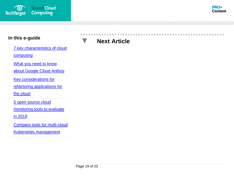

- 7 key characteristics of cloud **[computing](#page-2-0)**
- [What you need to know](#page-6-0)  [about Google Cloud Anthos](#page-6-0)
- **Key considerations for** [refactoring applications for](#page-11-0)  [the cloud](#page-11-0)
- 5 open source cloud [monitoring tools to evaluate](#page-16-0)  [in 2019](#page-16-0)
- [Compare tools for multi-cloud](#page-20-0)  [Kubernetes management](#page-20-0)

### **Next Article**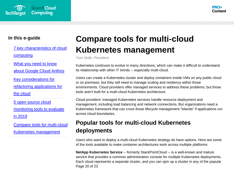



- [7 key characteristics of cloud](#page-2-0)  [computing](#page-2-0)
- What you need to know [about Google Cloud Anthos](#page-6-0)
- [Key considerations for](#page-11-0)  [refactoring applications for](#page-11-0)  [the cloud](#page-11-0)
- [5 open source cloud](#page-16-0)  [monitoring tools to evaluate](#page-16-0)  [in 2019](#page-16-0)
- [Compare tools for multi-cloud](#page-20-0)  [Kubernetes management](#page-20-0)

# <span id="page-20-0"></span>**Compare tools for multi-cloud Kubernetes management**

*Tom Nolle, President*

Kubernetes continues to evolve in many directions, which can make it difficult to understand its relationship with other IT trends -- especially multi-cloud.

Users can create a Kubernetes cluster and deploy containers inside VMs on any public cloud or on premises, but they still need to manage scaling and resiliency within those environments. Cloud providers offer managed services to address these problems, but those tools aren't built for a multi-cloud Kubernetes architecture.

Cloud providers' managed Kubernetes services handle resource deployment and management, including load balancing and network connections. But organizations need a Kubernetes framework that can cross those lifecycle management "islands" if applications run across cloud boundaries.

### **Popular tools for multi-cloud Kubernetes deployments**

Users who want to deploy a multi-cloud Kubernetes strategy do have options. Here are some of the tools available to make container architectures work across multiple platforms:

Page 20 of 23 **NetApp Kubernetes Service** -- formerly StackPointCloud -- is a well-known and mature service that provides a common administration console for multiple Kubernetes deployments. Each cloud represents a separate cluster, and you can spin up a cluster in any of the popular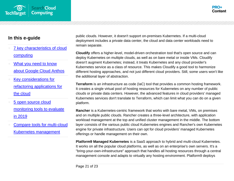

- [7 key characteristics of cloud](#page-2-0)  [computing](#page-2-0)
- What you need to know [about Google Cloud Anthos](#page-6-0)
- [Key considerations for](#page-11-0)  [refactoring applications for](#page-11-0)  [the cloud](#page-11-0)
- [5 open source cloud](#page-16-0)  [monitoring tools to evaluate](#page-16-0)  [in 2019](#page-16-0)
- [Compare tools for multi-cloud](#page-20-0)  [Kubernetes management](#page-20-0)

public clouds. However, it doesn't support on-premises Kubernetes. If a multi-cloud deployment includes a private data center, the cloud and data center workloads need to remain separate.

**Cloudify** offers a higher-level, model-driven orchestration tool that's open source and can deploy Kubernetes on multiple clouds, as well as on bare metal or inside VMs. Cloudify doesn't augment Kubernetes; instead, it treats Kubernetes and any cloud provider's Kubernetes service as a class of resource. This makes Cloudify a good tool to harmonize different hosting approaches, and not just different cloud providers. Still, some users won't like the additional layer of abstraction.

**Terraform** is an infrastructure as code (IaC) tool that provides a common hosting framework. It creates a single virtual pool of hosting resources for Kubernetes on any number of public clouds or private data centers. However, the advanced features in cloud providers' managed Kubernetes services don't translate to Terraform, which can limit what you can do on a given platform.

**Rancher** is a Kubernetes-centric framework that works with bare metal, VMs, on premises and on multiple public clouds. Rancher creates a three-level architecture, with application workload management at the top and unified cluster management in the middle. The bottom layer consists of the various public cloud Kubernetes engines and Rancher's own Kubernetes engine for private infrastructure. Users can opt for cloud providers' managed Kubernetes offerings or handle management on their own.

**Platform9 Managed Kubernetes** is a SaaS approach to hybrid and multi-cloud Kubernetes. It works on all the popular cloud platforms, as well as on an enterprise's own servers. It's a "bring-your-own-infrastructure" approach that handles all hosting resources through a central management console and adapts to virtually any hosting environment. Platform9 deploys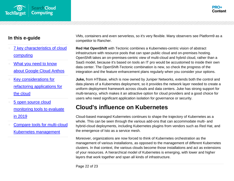



- [7 key characteristics of cloud](#page-2-0)  [computing](#page-2-0)
- What you need to know [about Google Cloud Anthos](#page-6-0)
- [Key considerations for](#page-11-0)  [refactoring applications for](#page-11-0)  [the cloud](#page-11-0)
- [5 open source cloud](#page-16-0)  [monitoring tools to evaluate](#page-16-0)  [in 2019](#page-16-0)
- [Compare tools for multi-cloud](#page-20-0)  [Kubernetes management](#page-20-0)

VMs, containers and even serverless, so it's very flexible. Many observers see Platform9 as a competitor to Rancher.

**Red Hat OpenShift** with Tectonic combines a Kubernetes-centric vision of abstract infrastructure with resource pools that can span public cloud and on-premises hosting. OpenShift takes an on-premises-centric view of multi-cloud and hybrid cloud, rather than a SaaS model, because it's based on tools an IT pro would be accustomed to inside their own data center. The OpenShift-Tectonic combination is new, so check the progress of the integration and the feature enhancement plans regularly when you consider your options.

**Juke,** from HTBase, which is now owned by Juniper Networks, extends both the control and data planes of a Kubernetes deployment, so it provides the network layer needed to create a uniform deployment framework across clouds and data centers. Juke has strong support for multi-tenancy, which makes it an attractive option for cloud providers and a good choice for users who need significant application isolation for governance or security.

### **Cloud's influence on Kubernetes**

Cloud-based managed Kubernetes continues to shape the trajectory of Kubernetes as a whole. This can be seen through the various add-ons that can accommodate multi- and hybrid-cloud deployments, including Kubernetes plugins from vendors such as Red Hat, and the emergence of Isto as a service mesh.

Moreover, organizations are now forced to think of Kubernetes orchestration as the management of various installations, as opposed to the management of different Kubernetes clusters. In that context, the various clouds become those installations and act as extensions of your resources. A hierarchical model of Kubernetes is emerging, with lower and higher layers that work together and span all kinds of infrastructure.